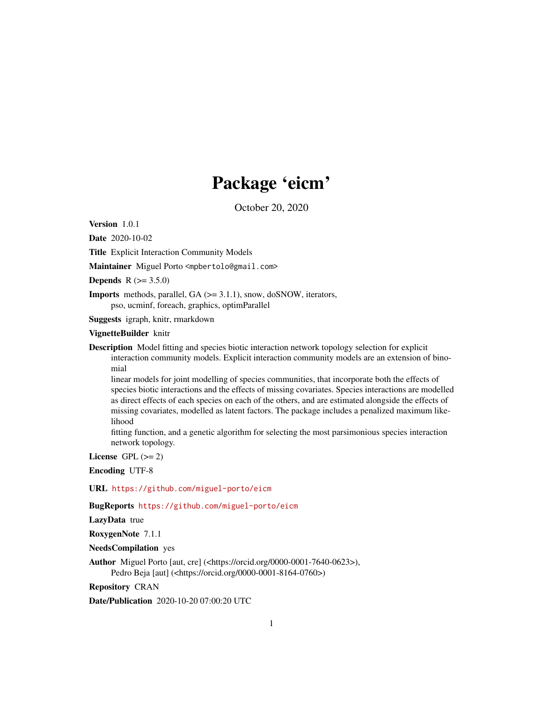## Package 'eicm'

October 20, 2020

<span id="page-0-0"></span>Version 1.0.1

Date 2020-10-02

Title Explicit Interaction Community Models

Maintainer Miguel Porto <mpbertolo@gmail.com>

**Depends**  $R (= 3.5.0)$ 

Imports methods, parallel, GA (>= 3.1.1), snow, doSNOW, iterators, pso, ucminf, foreach, graphics, optimParallel

Suggests igraph, knitr, rmarkdown

#### VignetteBuilder knitr

Description Model fitting and species biotic interaction network topology selection for explicit interaction community models. Explicit interaction community models are an extension of binomial

linear models for joint modelling of species communities, that incorporate both the effects of species biotic interactions and the effects of missing covariates. Species interactions are modelled as direct effects of each species on each of the others, and are estimated alongside the effects of missing covariates, modelled as latent factors. The package includes a penalized maximum likelihood

fitting function, and a genetic algorithm for selecting the most parsimonious species interaction network topology.

License GPL  $(>= 2)$ 

Encoding UTF-8

URL <https://github.com/miguel-porto/eicm>

BugReports <https://github.com/miguel-porto/eicm>

LazyData true

RoxygenNote 7.1.1

NeedsCompilation yes

Author Miguel Porto [aut, cre] (<https://orcid.org/0000-0001-7640-0623>), Pedro Beja [aut] (<https://orcid.org/0000-0001-8164-0760>)

Repository CRAN

Date/Publication 2020-10-20 07:00:20 UTC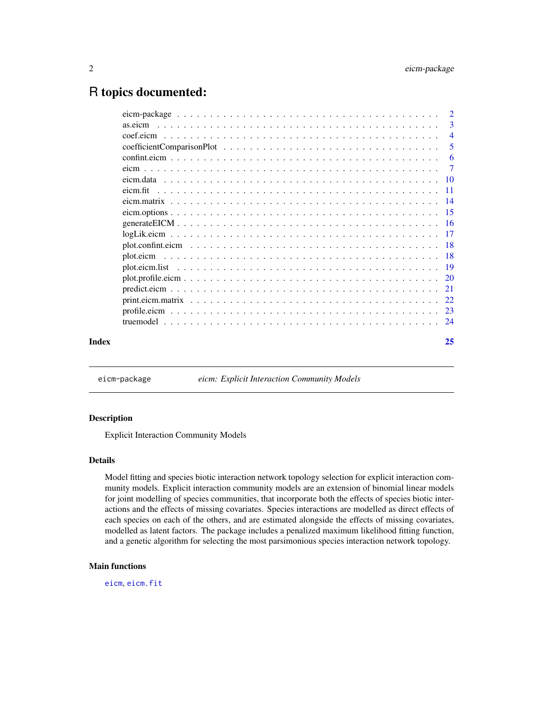### <span id="page-1-0"></span>R topics documented:

|       |                                                                                                                                                                                                                                | $\overline{3}$ |
|-------|--------------------------------------------------------------------------------------------------------------------------------------------------------------------------------------------------------------------------------|----------------|
|       |                                                                                                                                                                                                                                | $\overline{4}$ |
|       |                                                                                                                                                                                                                                | -5             |
|       | confinite comme contract to the contract of the contract of the contract of the contract of the contract of the contract of the contract of the contract of the contract of the contract of the contract of the contract of th | -6             |
|       |                                                                                                                                                                                                                                | $\overline{7}$ |
|       |                                                                                                                                                                                                                                |                |
|       |                                                                                                                                                                                                                                |                |
|       |                                                                                                                                                                                                                                |                |
|       |                                                                                                                                                                                                                                |                |
|       |                                                                                                                                                                                                                                |                |
|       |                                                                                                                                                                                                                                |                |
|       |                                                                                                                                                                                                                                |                |
|       |                                                                                                                                                                                                                                |                |
|       |                                                                                                                                                                                                                                |                |
|       |                                                                                                                                                                                                                                |                |
|       |                                                                                                                                                                                                                                |                |
|       |                                                                                                                                                                                                                                |                |
|       |                                                                                                                                                                                                                                |                |
|       |                                                                                                                                                                                                                                |                |
| Index |                                                                                                                                                                                                                                | 25             |

<span id="page-1-1"></span>eicm-package *eicm: Explicit Interaction Community Models*

#### Description

Explicit Interaction Community Models

#### Details

Model fitting and species biotic interaction network topology selection for explicit interaction community models. Explicit interaction community models are an extension of binomial linear models for joint modelling of species communities, that incorporate both the effects of species biotic interactions and the effects of missing covariates. Species interactions are modelled as direct effects of each species on each of the others, and are estimated alongside the effects of missing covariates, modelled as latent factors. The package includes a penalized maximum likelihood fitting function, and a genetic algorithm for selecting the most parsimonious species interaction network topology.

#### Main functions

[eicm](#page-6-1), [eicm.fit](#page-10-1)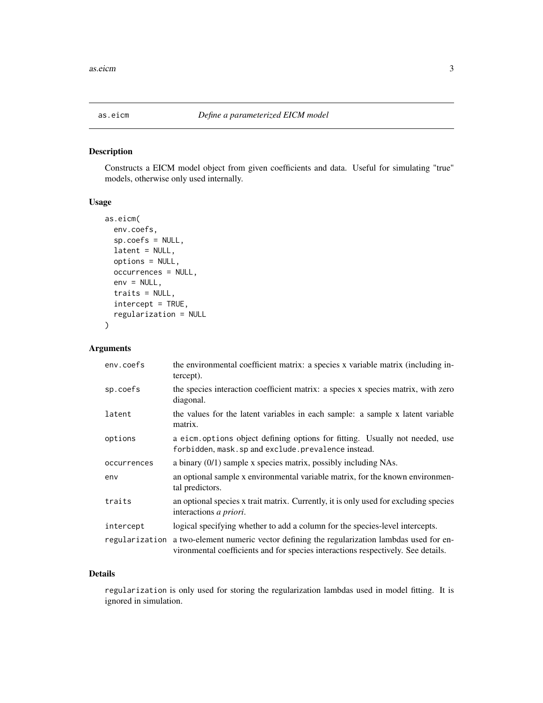<span id="page-2-1"></span><span id="page-2-0"></span>

Constructs a EICM model object from given coefficients and data. Useful for simulating "true" models, otherwise only used internally.

#### Usage

```
as.eicm(
  env.coefs,
  sp.coefs = NULL,
 latent = NULL,
  options = NULL,
  occurrences = NULL,
  env = NULL,traits = NULL,
  intercept = TRUE,
  regularization = NULL
)
```
#### Arguments

| env.coefs      | the environmental coefficient matrix: a species x variable matrix (including in-<br>tercept).                                                                     |
|----------------|-------------------------------------------------------------------------------------------------------------------------------------------------------------------|
| sp.coefs       | the species interaction coefficient matrix: a species x species matrix, with zero<br>diagonal.                                                                    |
| latent         | the values for the latent variables in each sample: a sample x latent variable<br>matrix.                                                                         |
| options        | a eicm options object defining options for fitting. Usually not needed, use<br>forbidden, mask.sp and exclude.prevalence instead.                                 |
| occurrences    | a binary $(0/1)$ sample x species matrix, possibly including NAs.                                                                                                 |
| env            | an optional sample x environmental variable matrix, for the known environmen-<br>tal predictors.                                                                  |
| traits         | an optional species x trait matrix. Currently, it is only used for excluding species<br>interactions a priori.                                                    |
| intercept      | logical specifying whether to add a column for the species-level intercepts.                                                                                      |
| regularization | a two-element numeric vector defining the regularization lambdas used for en-<br>vironmental coefficients and for species interactions respectively. See details. |

#### Details

regularization is only used for storing the regularization lambdas used in model fitting. It is ignored in simulation.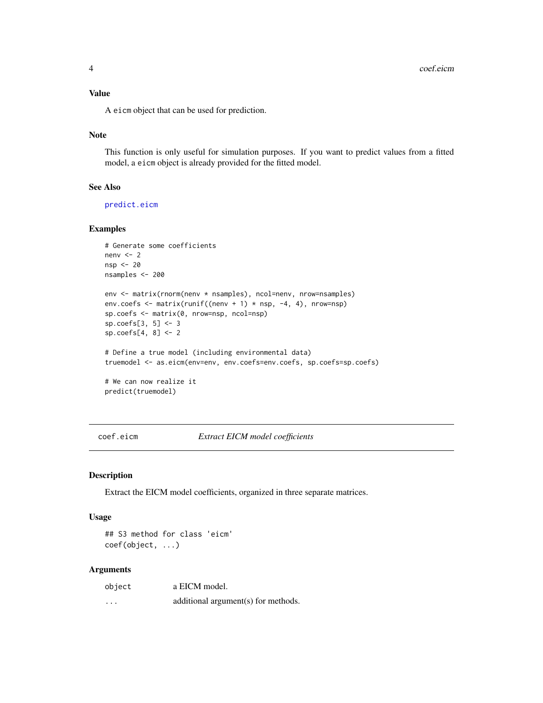<span id="page-3-0"></span>A eicm object that can be used for prediction.

#### Note

This function is only useful for simulation purposes. If you want to predict values from a fitted model, a eicm object is already provided for the fitted model.

#### See Also

[predict.eicm](#page-20-1)

#### Examples

```
# Generate some coefficients
nenv <-2nsp <- 20
nsamples <- 200
env <- matrix(rnorm(nenv * nsamples), ncol=nenv, nrow=nsamples)
env.coefs \leq matrix(runif((nenv + 1) * nsp, -4, 4), nrow=nsp)
sp.coefs <- matrix(0, nrow=nsp, ncol=nsp)
sp.coefs[3, 5] <- 3
sp.coefs[4, 8] <- 2
# Define a true model (including environmental data)
truemodel <- as.eicm(env=env, env.coefs=env.coefs, sp.coefs=sp.coefs)
# We can now realize it
predict(truemodel)
```
coef.eicm *Extract EICM model coefficients*

#### Description

Extract the EICM model coefficients, organized in three separate matrices.

#### Usage

## S3 method for class 'eicm' coef(object, ...)

| object   | a EICM model.                       |
|----------|-------------------------------------|
| $\cdots$ | additional argument(s) for methods. |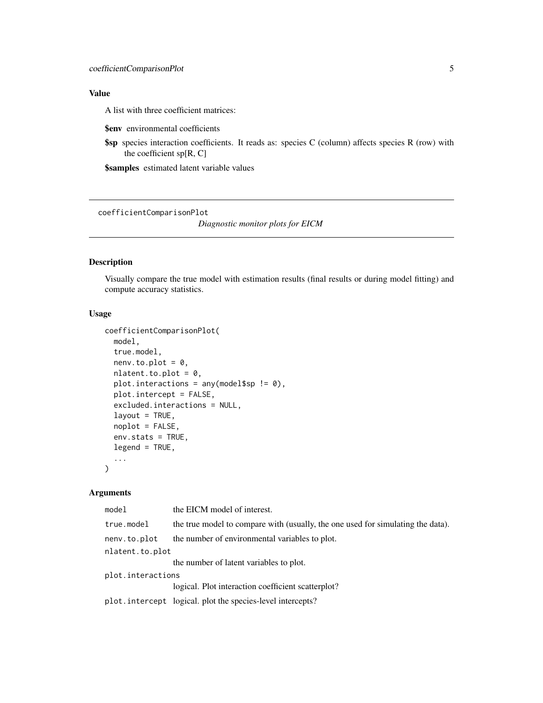<span id="page-4-0"></span>A list with three coefficient matrices:

\$env environmental coefficients

\$sp species interaction coefficients. It reads as: species C (column) affects species R (row) with the coefficient sp[R, C]

\$samples estimated latent variable values

<span id="page-4-1"></span>coefficientComparisonPlot

*Diagnostic monitor plots for EICM*

#### Description

Visually compare the true model with estimation results (final results or during model fitting) and compute accuracy statistics.

#### Usage

```
coefficientComparisonPlot(
 model,
  true.model,
  nenv.to.plot = 0,
  nlatent.to.plot = 0,
  plot.interactions = any(model$sp != 0),
  plot.intercept = FALSE,
  excluded.interactions = NULL,
  layout = TRUE,
  noplot = FALSE,
  env.stats = TRUE,
  legend = TRUE,
  ...
)
```

| model             | the EICM model of interest.                                                     |
|-------------------|---------------------------------------------------------------------------------|
| true.model        | the true model to compare with (usually, the one used for simulating the data). |
| nenv.to.plot      | the number of environmental variables to plot.                                  |
| nlatent.to.plot   |                                                                                 |
|                   | the number of latent variables to plot.                                         |
| plot.interactions |                                                                                 |
|                   | logical. Plot interaction coefficient scatterplot?                              |
|                   | plot.intercept logical. plot the species-level intercepts?                      |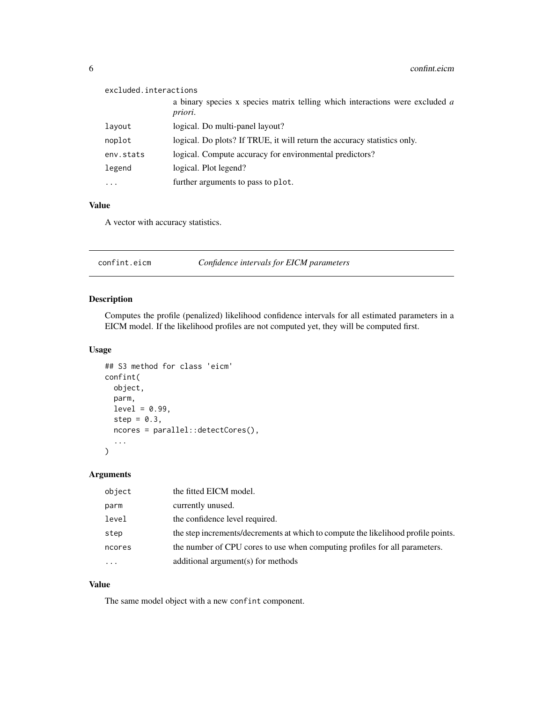<span id="page-5-0"></span>

| excluded.interactions |                                                                                         |
|-----------------------|-----------------------------------------------------------------------------------------|
|                       | a binary species x species matrix telling which interactions were excluded a<br>priori. |
| layout                | logical. Do multi-panel layout?                                                         |
| noplot                | logical. Do plots? If TRUE, it will return the accuracy statistics only.                |
| env.stats             | logical. Compute accuracy for environmental predictors?                                 |
| legend                | logical. Plot legend?                                                                   |
| $\cdots$              | further arguments to pass to plot.                                                      |

A vector with accuracy statistics.

<span id="page-5-1"></span>

| confint.eicm | Confidence intervals for EICM parameters |
|--------------|------------------------------------------|
|--------------|------------------------------------------|

#### Description

Computes the profile (penalized) likelihood confidence intervals for all estimated parameters in a EICM model. If the likelihood profiles are not computed yet, they will be computed first.

#### Usage

```
## S3 method for class 'eicm'
confint(
 object,
 parm,
 level = 0.99,step = 0.3,
 ncores = parallel::detectCores(),
  ...
\mathcal{L}
```
#### Arguments

| object   | the fitted EICM model.                                                            |
|----------|-----------------------------------------------------------------------------------|
| parm     | currently unused.                                                                 |
| level    | the confidence level required.                                                    |
| step     | the step increments/decrements at which to compute the likelihood profile points. |
| ncores   | the number of CPU cores to use when computing profiles for all parameters.        |
| $\cdots$ | additional argument(s) for methods                                                |

#### Value

The same model object with a new confint component.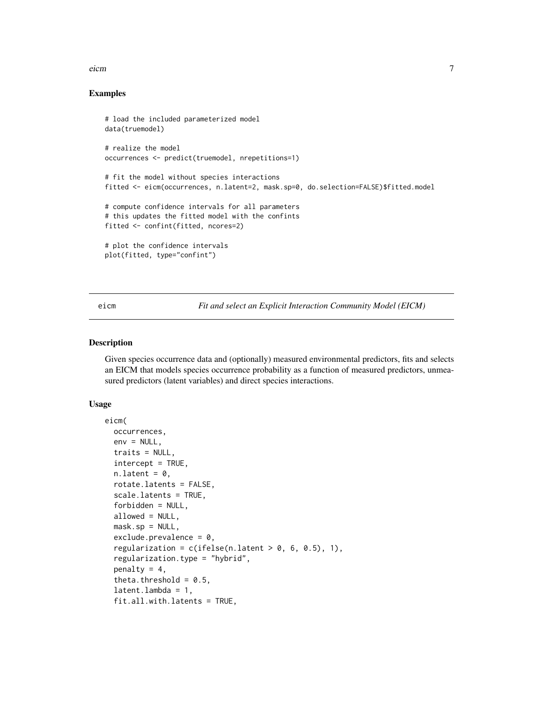#### <span id="page-6-0"></span>eicm **7**

#### Examples

```
# load the included parameterized model
data(truemodel)
# realize the model
occurrences <- predict(truemodel, nrepetitions=1)
# fit the model without species interactions
fitted <- eicm(occurrences, n.latent=2, mask.sp=0, do.selection=FALSE)$fitted.model
# compute confidence intervals for all parameters
# this updates the fitted model with the confints
fitted <- confint(fitted, ncores=2)
# plot the confidence intervals
plot(fitted, type="confint")
```
<span id="page-6-1"></span>eicm *Fit and select an Explicit Interaction Community Model (EICM)*

#### Description

Given species occurrence data and (optionally) measured environmental predictors, fits and selects an EICM that models species occurrence probability as a function of measured predictors, unmeasured predictors (latent variables) and direct species interactions.

```
eicm(
  occurrences,
  env = NULL,traits = NULL,
  intercept = TRUE,
  n.latent = 0,
  rotate.latents = FALSE,
  scale.latents = TRUE,
  forbidden = NULL,
  allowed = NULL,
  mask(sp = NULL,exclude.prevalence = 0,regularization = c(ifelse(n.latent > 0, 6, 0.5), 1),
  regularization.type = "hybrid",
  penalty = 4,
  theta.threshold = 0.5,
  latent.lambda = 1,
  fit.all.with.latents = TRUE,
```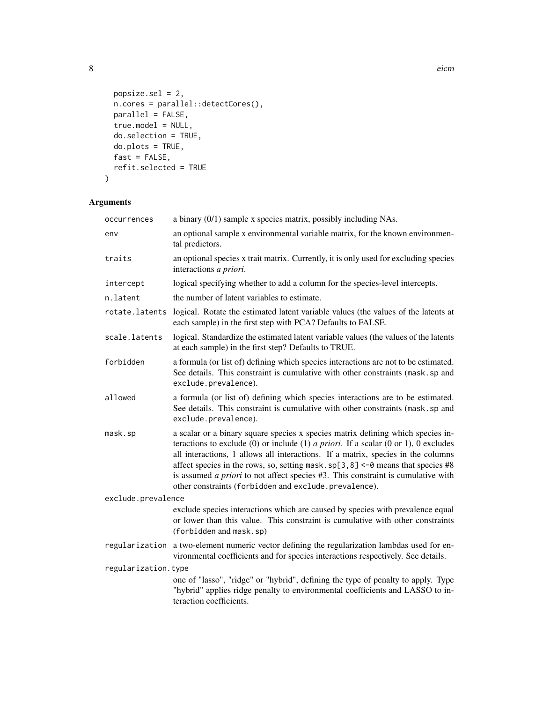```
popsize.sel = 2,
 n.cores = parallel::detectCores(),
 parallel = FALSE,
 true.model = NULL,
 do.selection = TRUE,
 do.plots = TRUE,
 fast = FALSE,refit.selected = TRUE
\mathcal{L}
```

| occurrences         | a binary $(0/1)$ sample x species matrix, possibly including NAs.                                                                                                                                                                                                                                                                                                                                                                                                                                             |  |
|---------------------|---------------------------------------------------------------------------------------------------------------------------------------------------------------------------------------------------------------------------------------------------------------------------------------------------------------------------------------------------------------------------------------------------------------------------------------------------------------------------------------------------------------|--|
| env                 | an optional sample x environmental variable matrix, for the known environmen-<br>tal predictors.                                                                                                                                                                                                                                                                                                                                                                                                              |  |
| traits              | an optional species x trait matrix. Currently, it is only used for excluding species<br>interactions a priori.                                                                                                                                                                                                                                                                                                                                                                                                |  |
| intercept           | logical specifying whether to add a column for the species-level intercepts.                                                                                                                                                                                                                                                                                                                                                                                                                                  |  |
| n.latent            | the number of latent variables to estimate.                                                                                                                                                                                                                                                                                                                                                                                                                                                                   |  |
| rotate.latents      | logical. Rotate the estimated latent variable values (the values of the latents at<br>each sample) in the first step with PCA? Defaults to FALSE.                                                                                                                                                                                                                                                                                                                                                             |  |
| scale.latents       | logical. Standardize the estimated latent variable values (the values of the latents<br>at each sample) in the first step? Defaults to TRUE.                                                                                                                                                                                                                                                                                                                                                                  |  |
| forbidden           | a formula (or list of) defining which species interactions are not to be estimated.<br>See details. This constraint is cumulative with other constraints (mask.sp and<br>exclude.prevalence).                                                                                                                                                                                                                                                                                                                 |  |
| allowed             | a formula (or list of) defining which species interactions are to be estimated.<br>See details. This constraint is cumulative with other constraints (mask. sp and<br>exclude.prevalence).                                                                                                                                                                                                                                                                                                                    |  |
| mask.sp             | a scalar or a binary square species x species matrix defining which species in-<br>teractions to exclude (0) or include (1) <i>a priori</i> . If a scalar (0 or 1), 0 excludes<br>all interactions, 1 allows all interactions. If a matrix, species in the columns<br>affect species in the rows, so, setting mask. $sp[3, 8] < -0$ means that species #8<br>is assumed <i>a priori</i> to not affect species #3. This constraint is cumulative with<br>other constraints (forbidden and exclude.prevalence). |  |
| exclude.prevalence  |                                                                                                                                                                                                                                                                                                                                                                                                                                                                                                               |  |
|                     | exclude species interactions which are caused by species with prevalence equal<br>or lower than this value. This constraint is cumulative with other constraints<br>(forbidden and mask.sp)                                                                                                                                                                                                                                                                                                                   |  |
|                     | regularization a two-element numeric vector defining the regularization lambdas used for en-<br>vironmental coefficients and for species interactions respectively. See details.                                                                                                                                                                                                                                                                                                                              |  |
| regularization.type |                                                                                                                                                                                                                                                                                                                                                                                                                                                                                                               |  |
|                     | one of "lasso", "ridge" or "hybrid", defining the type of penalty to apply. Type<br>"hybrid" applies ridge penalty to environmental coefficients and LASSO to in-<br>teraction coefficients.                                                                                                                                                                                                                                                                                                                  |  |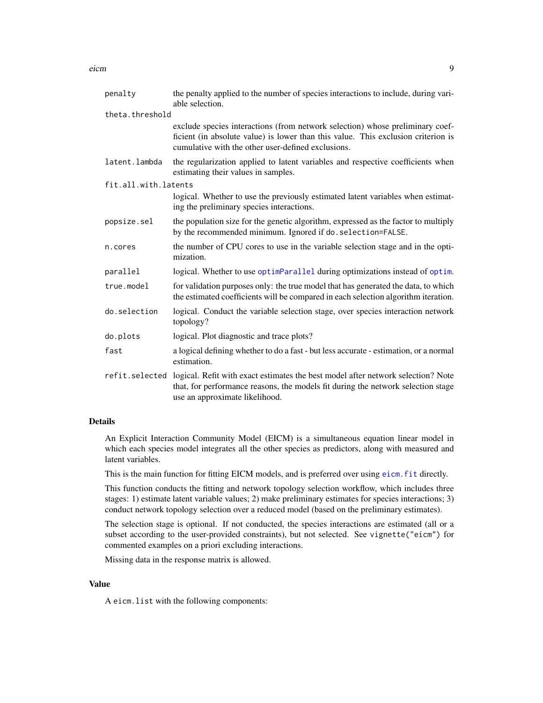<span id="page-8-0"></span>

| penalty              | the penalty applied to the number of species interactions to include, during vari-<br>able selection.                                                                                                                    |
|----------------------|--------------------------------------------------------------------------------------------------------------------------------------------------------------------------------------------------------------------------|
| theta.threshold      |                                                                                                                                                                                                                          |
|                      | exclude species interactions (from network selection) whose preliminary coef-<br>ficient (in absolute value) is lower than this value. This exclusion criterion is<br>cumulative with the other user-defined exclusions. |
| latent.lambda        | the regularization applied to latent variables and respective coefficients when<br>estimating their values in samples.                                                                                                   |
| fit.all.with.latents |                                                                                                                                                                                                                          |
|                      | logical. Whether to use the previously estimated latent variables when estimat-<br>ing the preliminary species interactions.                                                                                             |
| popsize.sel          | the population size for the genetic algorithm, expressed as the factor to multiply<br>by the recommended minimum. Ignored if do. selection=FALSE.                                                                        |
| n.cores              | the number of CPU cores to use in the variable selection stage and in the opti-<br>mization.                                                                                                                             |
| parallel             | logical. Whether to use optimParallel during optimizations instead of optim.                                                                                                                                             |
| true.model           | for validation purposes only: the true model that has generated the data, to which<br>the estimated coefficients will be compared in each selection algorithm iteration.                                                 |
| do.selection         | logical. Conduct the variable selection stage, over species interaction network<br>topology?                                                                                                                             |
| do.plots             | logical. Plot diagnostic and trace plots?                                                                                                                                                                                |
| fast                 | a logical defining whether to do a fast - but less accurate - estimation, or a normal<br>estimation.                                                                                                                     |
| refit.selected       | logical. Refit with exact estimates the best model after network selection? Note<br>that, for performance reasons, the models fit during the network selection stage<br>use an approximate likelihood.                   |

#### Details

An Explicit Interaction Community Model (EICM) is a simultaneous equation linear model in which each species model integrates all the other species as predictors, along with measured and latent variables.

This is the main function for fitting EICM models, and is preferred over using [eicm.fit](#page-10-1) directly.

This function conducts the fitting and network topology selection workflow, which includes three stages: 1) estimate latent variable values; 2) make preliminary estimates for species interactions; 3) conduct network topology selection over a reduced model (based on the preliminary estimates).

The selection stage is optional. If not conducted, the species interactions are estimated (all or a subset according to the user-provided constraints), but not selected. See vignette("eicm") for commented examples on a priori excluding interactions.

Missing data in the response matrix is allowed.

#### Value

A eicm.list with the following components: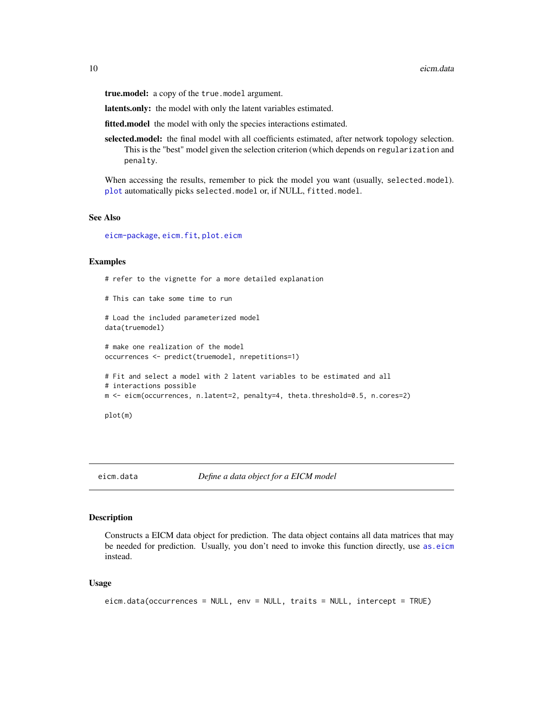<span id="page-9-0"></span>true.model: a copy of the true.model argument.

latents.only: the model with only the latent variables estimated.

fitted.model the model with only the species interactions estimated.

selected.model: the final model with all coefficients estimated, after network topology selection. This is the "best" model given the selection criterion (which depends on regularization and penalty.

When accessing the results, remember to pick the model you want (usually, selected.model). [plot](#page-0-0) automatically picks selected.model or, if NULL, fitted.model.

#### See Also

[eicm-package](#page-1-1), [eicm.fit](#page-10-1), [plot.eicm](#page-17-1)

#### Examples

```
# This can take some time to run
# Load the included parameterized model
data(truemodel)
# make one realization of the model
occurrences <- predict(truemodel, nrepetitions=1)
```
# refer to the vignette for a more detailed explanation

```
# Fit and select a model with 2 latent variables to be estimated and all
# interactions possible
m <- eicm(occurrences, n.latent=2, penalty=4, theta.threshold=0.5, n.cores=2)
```
plot(m)

eicm.data *Define a data object for a EICM model*

#### Description

Constructs a EICM data object for prediction. The data object contains all data matrices that may be needed for prediction. Usually, you don't need to invoke this function directly, use as eicm instead.

```
eicm.data(occurrences = NULL, env = NULL, traits = NULL, intercept = TRUE)
```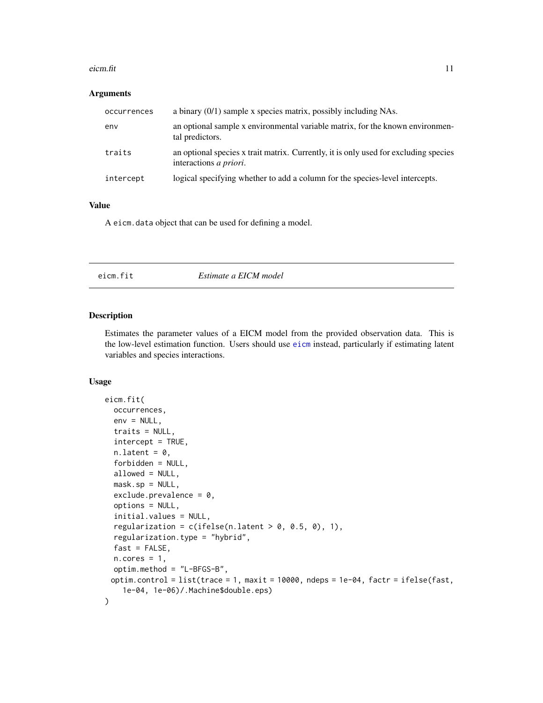#### <span id="page-10-0"></span>eicm.fit  $11$

#### Arguments

| occurrences | a binary $(0/1)$ sample x species matrix, possibly including NAs.                                                      |
|-------------|------------------------------------------------------------------------------------------------------------------------|
| env         | an optional sample x environmental variable matrix, for the known environmen-<br>tal predictors.                       |
| traits      | an optional species x trait matrix. Currently, it is only used for excluding species<br>interactions <i>a priori</i> . |
| intercept   | logical specifying whether to add a column for the species-level intercepts.                                           |

#### Value

A eicm.data object that can be used for defining a model.

#### <span id="page-10-1"></span>eicm.fit *Estimate a EICM model*

#### Description

Estimates the parameter values of a EICM model from the provided observation data. This is the low-level estimation function. Users should use [eicm](#page-6-1) instead, particularly if estimating latent variables and species interactions.

```
eicm.fit(
  occurrences,
  env = NULL,
  traits = NULL,
  intercept = TRUE,
  n.latent = 0,
  forbidden = NULL,
  allowed = NULL,
  mask(sp = NULL,\text{exclude.} prevalence = 0,
  options = NULL,
  initial.values = NULL,
  regularization = c(ifelse(n.length > 0, 0.5, 0), 1),regularization.type = "hybrid",
  fast = FALSE,
  n.cores = 1,optim.method = "L-BFGS-B",
 optim.control = list(trace = 1, maxit = 10000, ndeps = 1e-04, factr = ifelse(fast,
    1e-04, 1e-06)/.Machine$double.eps)
)
```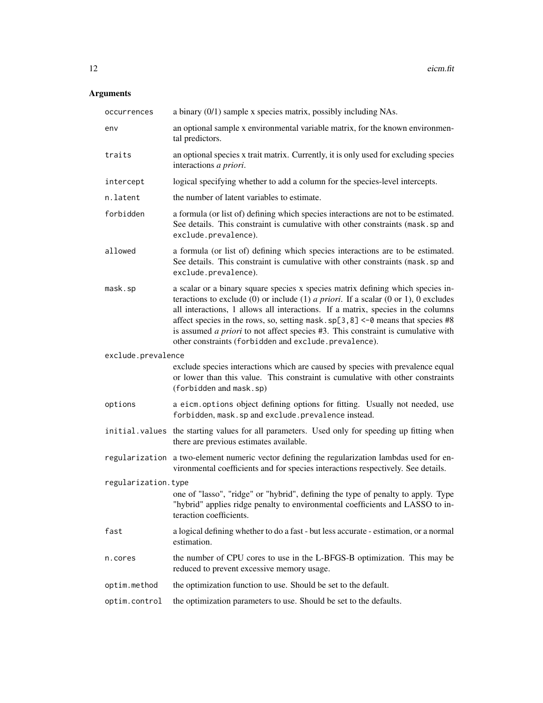| occurrences         | a binary (0/1) sample x species matrix, possibly including NAs.                                                                                                                                                                                                                                                                                                                                                                                                                                      |
|---------------------|------------------------------------------------------------------------------------------------------------------------------------------------------------------------------------------------------------------------------------------------------------------------------------------------------------------------------------------------------------------------------------------------------------------------------------------------------------------------------------------------------|
| env                 | an optional sample x environmental variable matrix, for the known environmen-<br>tal predictors.                                                                                                                                                                                                                                                                                                                                                                                                     |
| traits              | an optional species x trait matrix. Currently, it is only used for excluding species<br>interactions a priori.                                                                                                                                                                                                                                                                                                                                                                                       |
| intercept           | logical specifying whether to add a column for the species-level intercepts.                                                                                                                                                                                                                                                                                                                                                                                                                         |
| n.latent            | the number of latent variables to estimate.                                                                                                                                                                                                                                                                                                                                                                                                                                                          |
| forbidden           | a formula (or list of) defining which species interactions are not to be estimated.<br>See details. This constraint is cumulative with other constraints (mask.sp and<br>exclude.prevalence).                                                                                                                                                                                                                                                                                                        |
| allowed             | a formula (or list of) defining which species interactions are to be estimated.<br>See details. This constraint is cumulative with other constraints (mask.sp and<br>exclude.prevalence).                                                                                                                                                                                                                                                                                                            |
| mask.sp             | a scalar or a binary square species x species matrix defining which species in-<br>teractions to exclude (0) or include (1) a priori. If a scalar (0 or 1), 0 excludes<br>all interactions, 1 allows all interactions. If a matrix, species in the columns<br>affect species in the rows, so, setting mask.sp $[3, 8]$ <-0 means that species #8<br>is assumed <i>a priori</i> to not affect species #3. This constraint is cumulative with<br>other constraints (forbidden and exclude.prevalence). |
| exclude.prevalence  |                                                                                                                                                                                                                                                                                                                                                                                                                                                                                                      |
|                     | exclude species interactions which are caused by species with prevalence equal<br>or lower than this value. This constraint is cumulative with other constraints<br>(forbidden and mask.sp)                                                                                                                                                                                                                                                                                                          |
| options             | a eicm. options object defining options for fitting. Usually not needed, use<br>forbidden, mask.sp and exclude.prevalence instead.                                                                                                                                                                                                                                                                                                                                                                   |
|                     | initial. values the starting values for all parameters. Used only for speeding up fitting when<br>there are previous estimates available.                                                                                                                                                                                                                                                                                                                                                            |
|                     | regularization a two-element numeric vector defining the regularization lambdas used for en-<br>vironmental coefficients and for species interactions respectively. See details.                                                                                                                                                                                                                                                                                                                     |
| regularization.type |                                                                                                                                                                                                                                                                                                                                                                                                                                                                                                      |
|                     | one of "lasso", "ridge" or "hybrid", defining the type of penalty to apply. Type<br>"hybrid" applies ridge penalty to environmental coefficients and LASSO to in-<br>teraction coefficients.                                                                                                                                                                                                                                                                                                         |
| fast                | a logical defining whether to do a fast - but less accurate - estimation, or a normal<br>estimation.                                                                                                                                                                                                                                                                                                                                                                                                 |
| n.cores             | the number of CPU cores to use in the L-BFGS-B optimization. This may be<br>reduced to prevent excessive memory usage.                                                                                                                                                                                                                                                                                                                                                                               |
| optim.method        | the optimization function to use. Should be set to the default.                                                                                                                                                                                                                                                                                                                                                                                                                                      |
| optim.control       | the optimization parameters to use. Should be set to the defaults.                                                                                                                                                                                                                                                                                                                                                                                                                                   |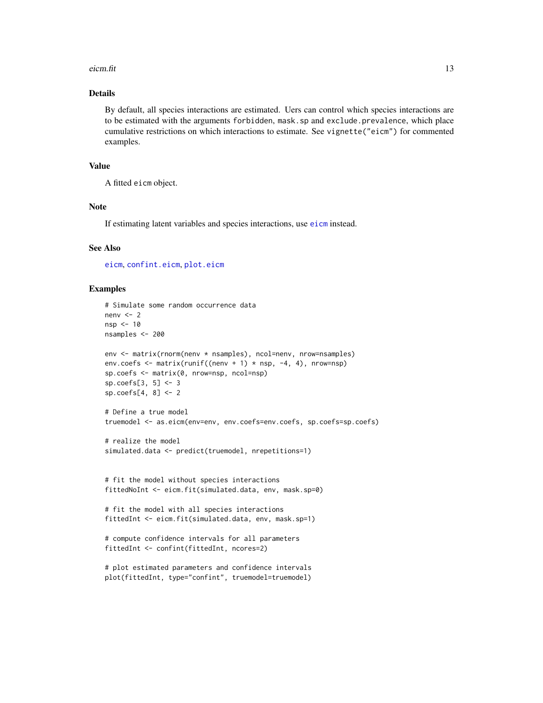#### <span id="page-12-0"></span> $e^{i c m \cdot f t}$  13

#### Details

By default, all species interactions are estimated. Uers can control which species interactions are to be estimated with the arguments forbidden, mask.sp and exclude.prevalence, which place cumulative restrictions on which interactions to estimate. See vignette("eicm") for commented examples.

#### Value

A fitted eicm object.

#### Note

If estimating latent variables and species interactions, use [eicm](#page-6-1) instead.

#### See Also

[eicm](#page-6-1), [confint.eicm](#page-5-1), [plot.eicm](#page-17-1)

#### Examples

```
# Simulate some random occurrence data
nenv <-2nsp <- 10
nsamples <- 200
env <- matrix(rnorm(nenv * nsamples), ncol=nenv, nrow=nsamples)
env.coefs \leq matrix(runif((nenv + 1) * nsp, -4, 4), nrow=nsp)
sp.coefs <- matrix(0, nrow=nsp, ncol=nsp)
sp.coefs[3, 5] <- 3
sp.coefs[4, 8] <- 2
# Define a true model
truemodel <- as.eicm(env=env, env.coefs=env.coefs, sp.coefs=sp.coefs)
# realize the model
simulated.data <- predict(truemodel, nrepetitions=1)
# fit the model without species interactions
fittedNoInt <- eicm.fit(simulated.data, env, mask.sp=0)
# fit the model with all species interactions
fittedInt <- eicm.fit(simulated.data, env, mask.sp=1)
# compute confidence intervals for all parameters
fittedInt <- confint(fittedInt, ncores=2)
# plot estimated parameters and confidence intervals
plot(fittedInt, type="confint", truemodel=truemodel)
```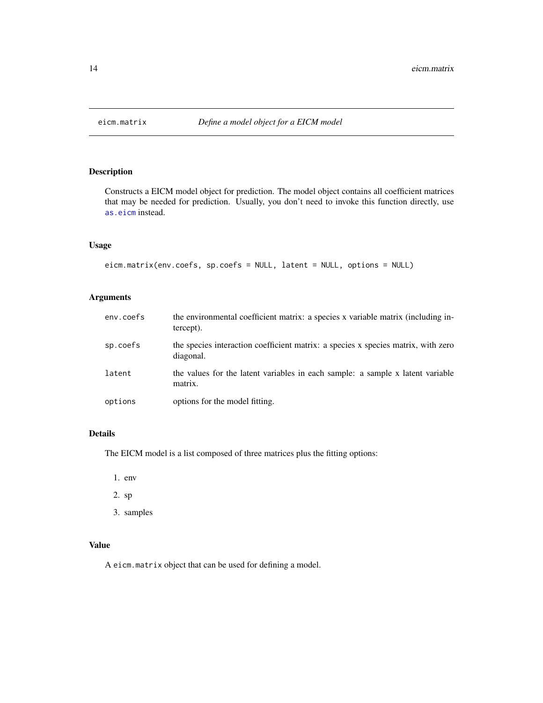<span id="page-13-0"></span>

Constructs a EICM model object for prediction. The model object contains all coefficient matrices that may be needed for prediction. Usually, you don't need to invoke this function directly, use [as.eicm](#page-2-1) instead.

#### Usage

```
eicm.matrix(env.coefs, sp.coefs = NULL, latent = NULL, options = NULL)
```
#### Arguments

| env.coefs | the environmental coefficient matrix: a species x variable matrix (including in-<br>tercept).  |
|-----------|------------------------------------------------------------------------------------------------|
| sp.coefs  | the species interaction coefficient matrix: a species x species matrix, with zero<br>diagonal. |
| latent    | the values for the latent variables in each sample: a sample x latent variable<br>matrix.      |
| options   | options for the model fitting.                                                                 |

#### Details

The EICM model is a list composed of three matrices plus the fitting options:

- 1. env
- 2. sp
- 3. samples

#### Value

A eicm.matrix object that can be used for defining a model.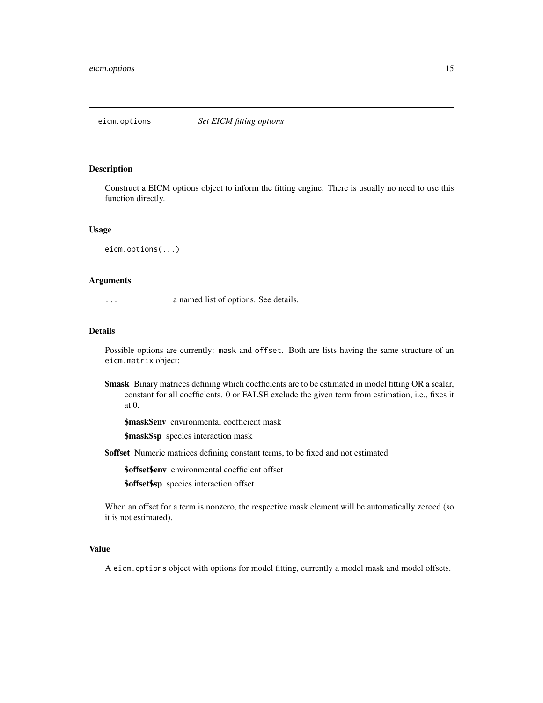<span id="page-14-0"></span>

Construct a EICM options object to inform the fitting engine. There is usually no need to use this function directly.

#### Usage

eicm.options(...)

#### **Arguments**

... a named list of options. See details.

#### Details

Possible options are currently: mask and offset. Both are lists having the same structure of an eicm.matrix object:

**\$mask** Binary matrices defining which coefficients are to be estimated in model fitting OR a scalar, constant for all coefficients. 0 or FALSE exclude the given term from estimation, i.e., fixes it at 0.

\$mask\$env environmental coefficient mask

\$mask\$sp species interaction mask

\$offset Numeric matrices defining constant terms, to be fixed and not estimated

\$offset\$env environmental coefficient offset

\$offset\$sp species interaction offset

When an offset for a term is nonzero, the respective mask element will be automatically zeroed (so it is not estimated).

#### Value

A eicm.options object with options for model fitting, currently a model mask and model offsets.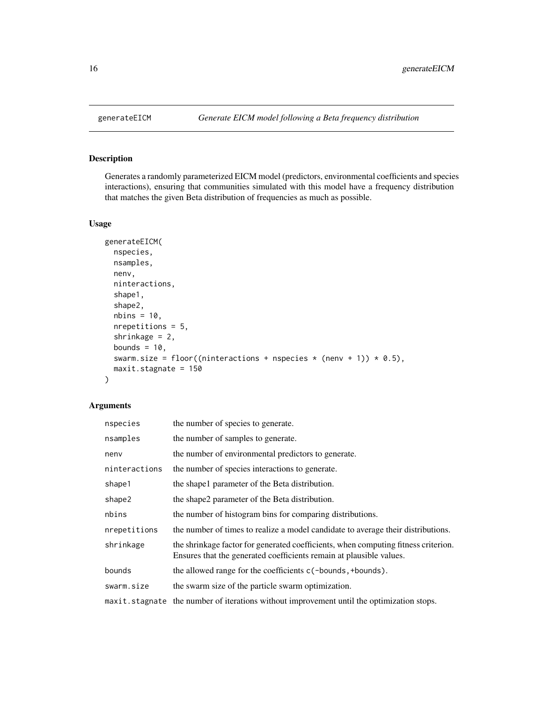<span id="page-15-0"></span>

Generates a randomly parameterized EICM model (predictors, environmental coefficients and species interactions), ensuring that communities simulated with this model have a frequency distribution that matches the given Beta distribution of frequencies as much as possible.

#### Usage

```
generateEICM(
  nspecies,
  nsamples,
  nenv,
  ninteractions,
  shape1,
  shape2,
  nbins = 10,
  nrepetitions = 5,
  shrinkage = 2,
  bounds = 10,
  swarm.size = floor((ninteractions + nspecies * (nenv + 1)) * 0.5),
  maxit.stagnate = 150
)
```

| nspecies      | the number of species to generate.                                                                                                                        |  |
|---------------|-----------------------------------------------------------------------------------------------------------------------------------------------------------|--|
| nsamples      | the number of samples to generate.                                                                                                                        |  |
| nenv          | the number of environmental predictors to generate.                                                                                                       |  |
| ninteractions | the number of species interactions to generate.                                                                                                           |  |
| shape1        | the shape 1 parameter of the Beta distribution.                                                                                                           |  |
| shape2        | the shape2 parameter of the Beta distribution.                                                                                                            |  |
| nbins         | the number of histogram bins for comparing distributions.                                                                                                 |  |
| nrepetitions  | the number of times to realize a model candidate to average their distributions.                                                                          |  |
| shrinkage     | the shrinkage factor for generated coefficients, when computing fitness criterion.<br>Ensures that the generated coefficients remain at plausible values. |  |
| bounds        | the allowed range for the coefficients c(-bounds, +bounds).                                                                                               |  |
| swarm.size    | the swarm size of the particle swarm optimization.                                                                                                        |  |
|               | maxit.stagnate the number of iterations without improvement until the optimization stops.                                                                 |  |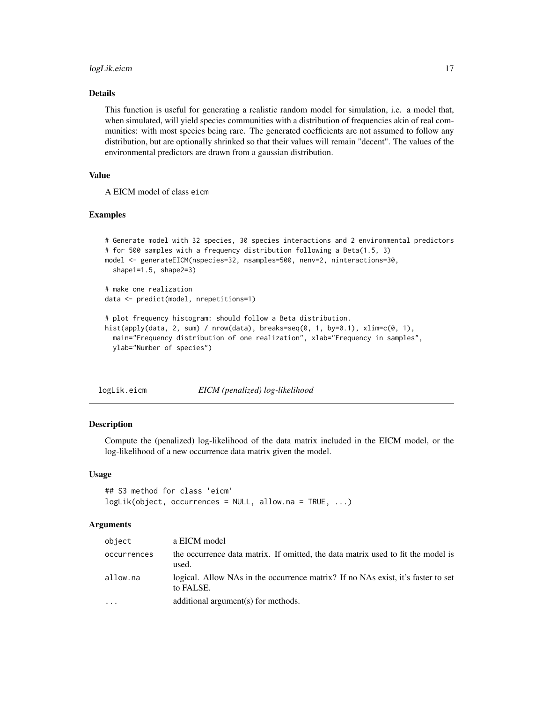#### <span id="page-16-0"></span>logLik.eicm 17

#### Details

This function is useful for generating a realistic random model for simulation, i.e. a model that, when simulated, will yield species communities with a distribution of frequencies akin of real communities: with most species being rare. The generated coefficients are not assumed to follow any distribution, but are optionally shrinked so that their values will remain "decent". The values of the environmental predictors are drawn from a gaussian distribution.

#### Value

A EICM model of class eicm

#### Examples

```
# Generate model with 32 species, 30 species interactions and 2 environmental predictors
# for 500 samples with a frequency distribution following a Beta(1.5, 3)
model <- generateEICM(nspecies=32, nsamples=500, nenv=2, ninteractions=30,
 shape1=1.5, shape2=3)
# make one realization
data <- predict(model, nrepetitions=1)
# plot frequency histogram: should follow a Beta distribution.
hist(apply(data, 2, sum) / nrow(data), breaks=seq(0, 1, by=0.1), xlim=c(0, 1),
 main="Frequency distribution of one realization", xlab="Frequency in samples",
 ylab="Number of species")
```
logLik.eicm *EICM (penalized) log-likelihood*

#### Description

Compute the (penalized) log-likelihood of the data matrix included in the EICM model, or the log-likelihood of a new occurrence data matrix given the model.

#### Usage

```
## S3 method for class 'eicm'
logLik(object, occurrences = NULL, allow.na = TRUE, ...)
```

| object      | a EICM model                                                                                  |
|-------------|-----------------------------------------------------------------------------------------------|
| occurrences | the occurrence data matrix. If omitted, the data matrix used to fit the model is<br>used.     |
| allow.na    | logical. Allow NAs in the occurrence matrix? If no NAs exist, it's faster to set<br>to FALSE. |
| $\cdots$    | additional argument(s) for methods.                                                           |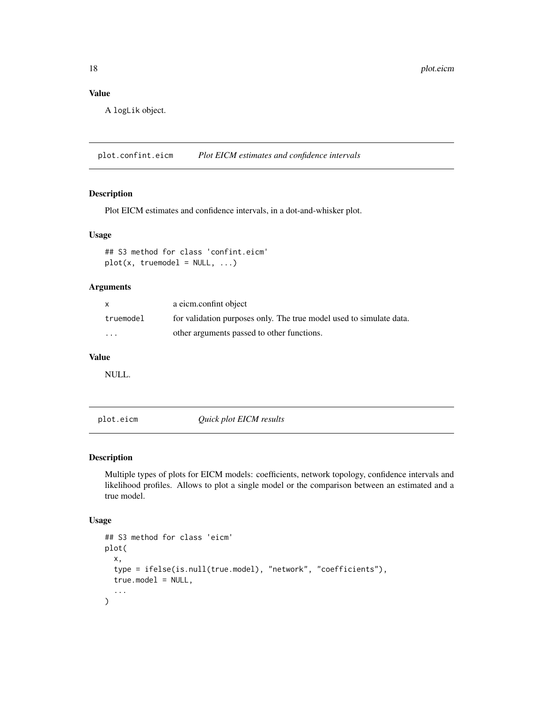<span id="page-17-0"></span>A logLik object.

plot.confint.eicm *Plot EICM estimates and confidence intervals*

#### Description

Plot EICM estimates and confidence intervals, in a dot-and-whisker plot.

#### Usage

```
## S3 method for class 'confint.eicm'
plot(x, true model = NULL, ...)
```
#### Arguments

|           | a eicm.confint object                                               |
|-----------|---------------------------------------------------------------------|
| truemodel | for validation purposes only. The true model used to simulate data. |
| $\cdots$  | other arguments passed to other functions.                          |

#### Value

NULL.

<span id="page-17-1"></span>plot.eicm *Quick plot EICM results*

#### Description

Multiple types of plots for EICM models: coefficients, network topology, confidence intervals and likelihood profiles. Allows to plot a single model or the comparison between an estimated and a true model.

```
## S3 method for class 'eicm'
plot(
  x,
  type = ifelse(is.null(true.model), "network", "coefficients"),
  true.model = NULL,
  ...
\mathcal{E}
```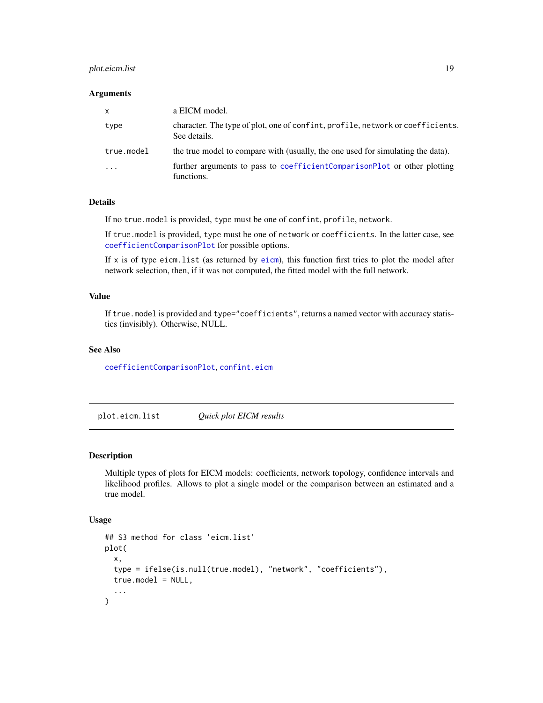#### <span id="page-18-0"></span>plot.eicm.list 19

#### **Arguments**

| $\mathsf{x}$            | a EICM model.                                                                                  |
|-------------------------|------------------------------------------------------------------------------------------------|
| type                    | character. The type of plot, one of confint, profile, network or coefficients.<br>See details. |
| true.model              | the true model to compare with (usually, the one used for simulating the data).                |
| $\cdot$ $\cdot$ $\cdot$ | further arguments to pass to coefficient ComparisonPlot or other plotting<br>functions.        |

#### Details

If no true.model is provided, type must be one of confint, profile, network.

If true.model is provided, type must be one of network or coefficients. In the latter case, see [coefficientComparisonPlot](#page-4-1) for possible options.

If  $x$  is of type [eicm](#page-6-1). list (as returned by eicm), this function first tries to plot the model after network selection, then, if it was not computed, the fitted model with the full network.

#### Value

If true.model is provided and type="coefficients", returns a named vector with accuracy statistics (invisibly). Otherwise, NULL.

#### See Also

[coefficientComparisonPlot](#page-4-1), [confint.eicm](#page-5-1)

plot.eicm.list *Quick plot EICM results*

#### Description

Multiple types of plots for EICM models: coefficients, network topology, confidence intervals and likelihood profiles. Allows to plot a single model or the comparison between an estimated and a true model.

```
## S3 method for class 'eicm.list'
plot(
  x,
  type = ifelse(is.null(true.model), "network", "coefficients"),
  true_model = NULL,...
)
```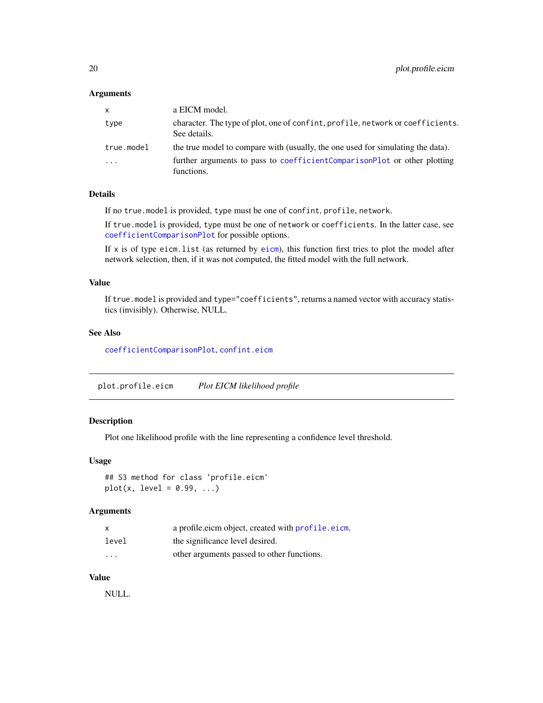#### <span id="page-19-0"></span>Arguments

| $\mathsf{x}$ | a EICM model.                                                                                  |
|--------------|------------------------------------------------------------------------------------------------|
| type         | character. The type of plot, one of confint, profile, network or coefficients.<br>See details. |
| true.model   | the true model to compare with (usually, the one used for simulating the data).                |
| $\cdot$      | further arguments to pass to coefficientComparisonPlot or other plotting<br>functions.         |

#### Details

If no true.model is provided, type must be one of confint, profile, network.

If true.model is provided, type must be one of network or coefficients. In the latter case, see [coefficientComparisonPlot](#page-4-1) for possible options.

If x is of type eicm.list (as returned by [eicm](#page-6-1)), this function first tries to plot the model after network selection, then, if it was not computed, the fitted model with the full network.

#### Value

If true.model is provided and type="coefficients", returns a named vector with accuracy statistics (invisibly). Otherwise, NULL.

#### See Also

[coefficientComparisonPlot](#page-4-1), [confint.eicm](#page-5-1)

plot.profile.eicm *Plot EICM likelihood profile*

#### Description

Plot one likelihood profile with the line representing a confidence level threshold.

#### Usage

```
## S3 method for class 'profile.eicm'
plot(x, level = 0.99, ...)
```
#### Arguments

|                         | a profile eicm object, created with profile eicm. |
|-------------------------|---------------------------------------------------|
| level                   | the significance level desired.                   |
| $\cdot$ $\cdot$ $\cdot$ | other arguments passed to other functions.        |

#### Value

NULL.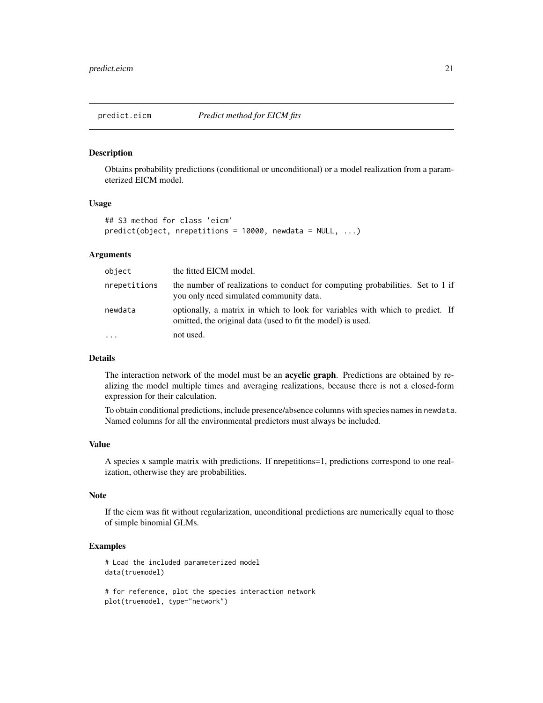<span id="page-20-1"></span><span id="page-20-0"></span>

Obtains probability predictions (conditional or unconditional) or a model realization from a parameterized EICM model.

#### Usage

```
## S3 method for class 'eicm'
predict(object, nrepetitions = 10000, newdata = NULL, ...)
```
#### Arguments

| object       | the fitted EICM model.                                                                                                                       |
|--------------|----------------------------------------------------------------------------------------------------------------------------------------------|
| nrepetitions | the number of realizations to conduct for computing probabilities. Set to 1 if<br>you only need simulated community data.                    |
| newdata      | optionally, a matrix in which to look for variables with which to predict. If<br>omitted, the original data (used to fit the model) is used. |
| $\ddots$ .   | not used.                                                                                                                                    |

#### Details

The interaction network of the model must be an **acyclic graph**. Predictions are obtained by realizing the model multiple times and averaging realizations, because there is not a closed-form expression for their calculation.

To obtain conditional predictions, include presence/absence columns with species names in newdata. Named columns for all the environmental predictors must always be included.

#### Value

A species x sample matrix with predictions. If nrepetitions=1, predictions correspond to one realization, otherwise they are probabilities.

#### Note

If the eicm was fit without regularization, unconditional predictions are numerically equal to those of simple binomial GLMs.

#### Examples

```
# Load the included parameterized model
data(truemodel)
```
# for reference, plot the species interaction network plot(truemodel, type="network")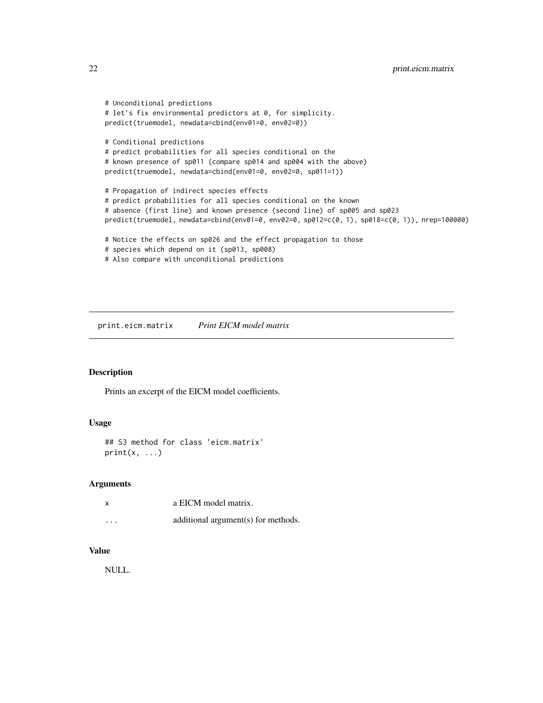```
# Unconditional predictions
# let's fix environmental predictors at 0, for simplicity.
predict(truemodel, newdata=cbind(env01=0, env02=0))
# Conditional predictions
# predict probabilities for all species conditional on the
# known presence of sp011 (compare sp014 and sp004 with the above)
predict(truemodel, newdata=cbind(env01=0, env02=0, sp011=1))
# Propagation of indirect species effects
# predict probabilities for all species conditional on the known
# absence (first line) and known presence (second line) of sp005 and sp023
predict(truemodel, newdata=cbind(env01=0, env02=0, sp012=c(0, 1), sp018=c(0, 1)), nrep=100000)
# Notice the effects on sp026 and the effect propagation to those
# species which depend on it (sp013, sp008)
# Also compare with unconditional predictions
```
print.eicm.matrix *Print EICM model matrix*

#### Description

Prints an excerpt of the EICM model coefficients.

#### Usage

```
## S3 method for class 'eicm.matrix'
print(x, \ldots)
```
#### Arguments

|          | a EICM model matrix.                |
|----------|-------------------------------------|
| $\cdots$ | additional argument(s) for methods. |

#### Value

NULL.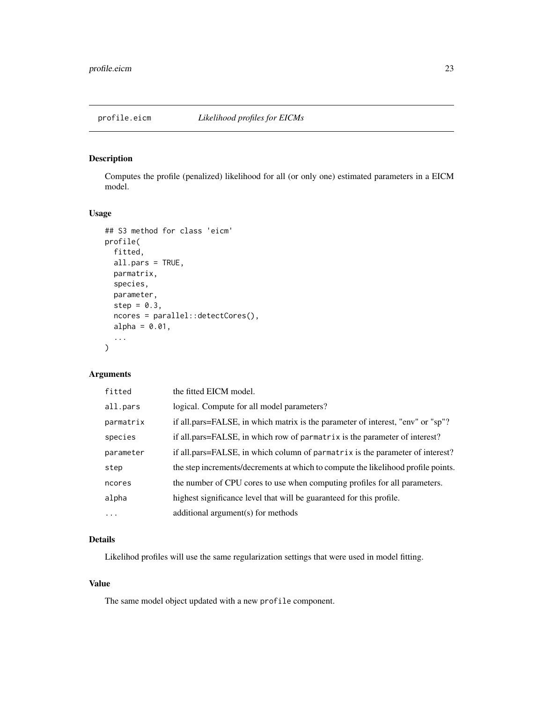<span id="page-22-1"></span><span id="page-22-0"></span>Computes the profile (penalized) likelihood for all (or only one) estimated parameters in a EICM model.

#### Usage

```
## S3 method for class 'eicm'
profile(
  fitted,
  all.pars = TRUE,
 parmatrix,
  species,
  parameter,
  step = 0.3,
  ncores = parallel::detectCores(),
  alpha = 0.01,...
\mathcal{L}
```
#### Arguments

| the fitted EICM model.                                                            |
|-----------------------------------------------------------------------------------|
| logical. Compute for all model parameters?                                        |
| if all.pars=FALSE, in which matrix is the parameter of interest, "env" or "sp"?   |
| if all.pars=FALSE, in which row of parmatrix is the parameter of interest?        |
| if all.pars=FALSE, in which column of parmatrix is the parameter of interest?     |
| the step increments/decrements at which to compute the likelihood profile points. |
| the number of CPU cores to use when computing profiles for all parameters.        |
| highest significance level that will be guaranteed for this profile.              |
| additional argument(s) for methods                                                |
|                                                                                   |

#### Details

Likelihod profiles will use the same regularization settings that were used in model fitting.

#### Value

The same model object updated with a new profile component.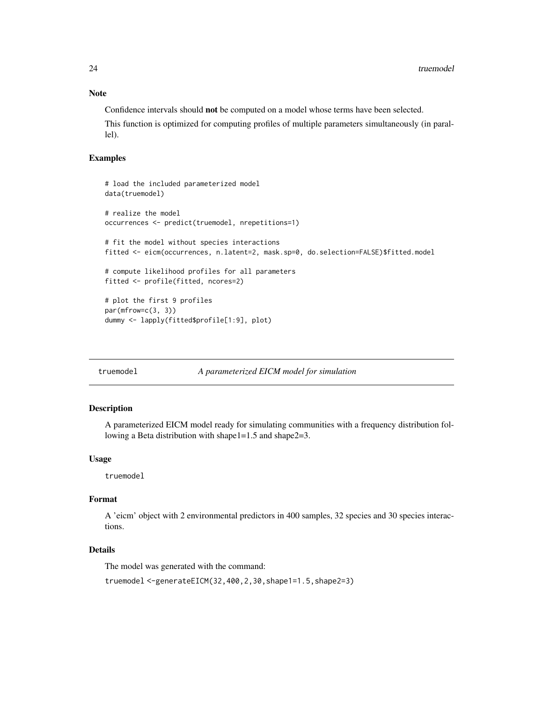#### Note

Confidence intervals should not be computed on a model whose terms have been selected.

This function is optimized for computing profiles of multiple parameters simultaneously (in parallel).

#### Examples

```
# load the included parameterized model
data(truemodel)
# realize the model
occurrences <- predict(truemodel, nrepetitions=1)
# fit the model without species interactions
fitted <- eicm(occurrences, n.latent=2, mask.sp=0, do.selection=FALSE)$fitted.model
# compute likelihood profiles for all parameters
fitted <- profile(fitted, ncores=2)
# plot the first 9 profiles
par(mfrow=c(3, 3))
dummy <- lapply(fitted$profile[1:9], plot)
```
#### truemodel *A parameterized EICM model for simulation*

#### Description

A parameterized EICM model ready for simulating communities with a frequency distribution following a Beta distribution with shape1=1.5 and shape2=3.

#### Usage

truemodel

#### Format

A 'eicm' object with 2 environmental predictors in 400 samples, 32 species and 30 species interactions.

#### Details

The model was generated with the command:

truemodel <-generateEICM(32,400,2,30,shape1=1.5,shape2=3)

<span id="page-23-0"></span>